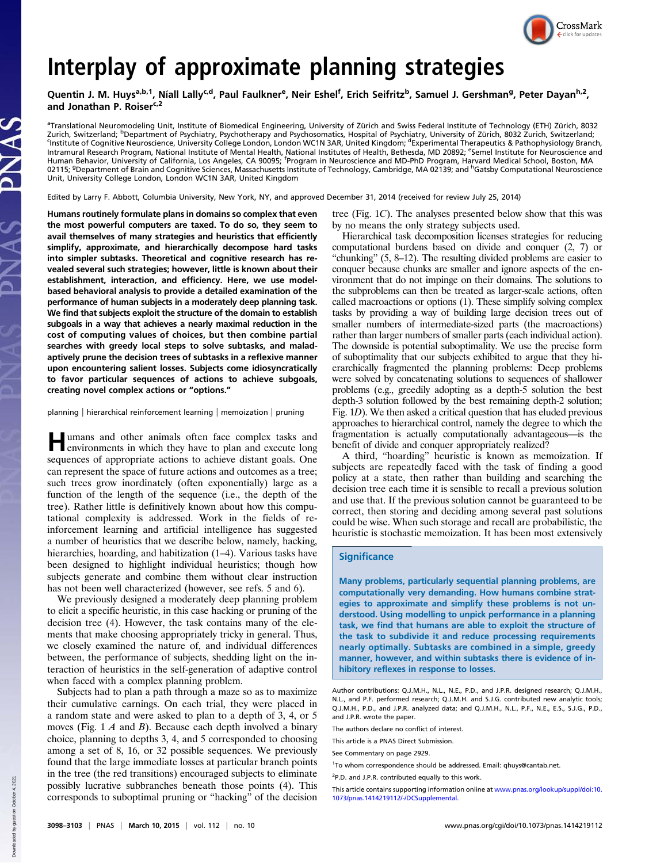

Quentin J. M. Huys<sup>a,b,1</sup>, Níall Lally<sup>c,d</sup>, Paul Faulkner<sup>e</sup>, Neir Eshel<sup>f</sup>, Erich Seifritz<sup>b</sup>, Samuel J. Gershman<sup>g</sup>, Peter Dayan<sup>h,2</sup>, and Jonathan P. Roiser<sup>c,2</sup>

aTranslational Neuromodeling Unit, Institute of Biomedical Engineering, University of Zürich and Swiss Federal Institute of Technology (ETH) Zürich, 8032 Zurich, Switzerland; <sup>b</sup>Department of Psychiatry, Psychotherapy and Psychosomatics, Hospital of Psychiatry, University of Zürich, 8032 Zurich, Switzerland;<br>Sinstitute of Cognitive Neurosciance University College London, Lo Institute of Cognitive Neuroscience, University College London, London WC1N 3AR, United Kingdom; <sup>d</sup>Experimental Therapeutics & Pathophysiology Branch, Intramural Research Program, National Institute of Mental Health, National Institutes of Health, Bethesda, MD 20892; <sup>e</sup>Semel Institute for Neuroscience and Human Behavior, University of California, Los Angeles, CA 90095; <sup>f</sup>Program in Neuroscience and MD-PhD Program, Harvard Medical School, Boston, MA 02115; <sup>g</sup>Department of Brain and Cognitive Sciences, Massachusetts Institute of Technology, Cambridge, MA 02139; and <sup>h</sup>Gatsby Computational Neuroscience Unit, University College London, London WC1N 3AR, United Kingdom

Edited by Larry F. Abbott, Columbia University, New York, NY, and approved December 31, 2014 (received for review July 25, 2014)

Humans routinely formulate plans in domains so complex that even the most powerful computers are taxed. To do so, they seem to avail themselves of many strategies and heuristics that efficiently simplify, approximate, and hierarchically decompose hard tasks into simpler subtasks. Theoretical and cognitive research has revealed several such strategies; however, little is known about their establishment, interaction, and efficiency. Here, we use modelbased behavioral analysis to provide a detailed examination of the performance of human subjects in a moderately deep planning task. We find that subjects exploit the structure of the domain to establish subgoals in a way that achieves a nearly maximal reduction in the cost of computing values of choices, but then combine partial searches with greedy local steps to solve subtasks, and maladaptively prune the decision trees of subtasks in a reflexive manner upon encountering salient losses. Subjects come idiosyncratically to favor particular sequences of actions to achieve subgoals, creating novel complex actions or "options."

planning | hierarchical reinforcement learning | memoization | pruning

Humans and other animals often face complex tasks and environments in which they have to plan and execute long sequences of appropriate actions to achieve distant goals. One can represent the space of future actions and outcomes as a tree; such trees grow inordinately (often exponentially) large as a function of the length of the sequence (i.e., the depth of the tree). Rather little is definitively known about how this computational complexity is addressed. Work in the fields of reinforcement learning and artificial intelligence has suggested a number of heuristics that we describe below, namely, hacking, hierarchies, hoarding, and habitization (1–4). Various tasks have been designed to highlight individual heuristics; though how subjects generate and combine them without clear instruction has not been well characterized (however, see refs. 5 and 6).

We previously designed a moderately deep planning problem to elicit a specific heuristic, in this case hacking or pruning of the decision tree (4). However, the task contains many of the elements that make choosing appropriately tricky in general. Thus, we closely examined the nature of, and individual differences between, the performance of subjects, shedding light on the interaction of heuristics in the self-generation of adaptive control when faced with a complex planning problem.

Subjects had to plan a path through a maze so as to maximize their cumulative earnings. On each trial, they were placed in a random state and were asked to plan to a depth of 3, 4, or 5 moves (Fig.  $1 \land$  and  $B$ ). Because each depth involved a binary choice, planning to depths 3, 4, and 5 corresponded to choosing among a set of 8, 16, or 32 possible sequences. We previously found that the large immediate losses at particular branch points in the tree (the red transitions) encouraged subjects to eliminate possibly lucrative subbranches beneath those points (4). This corresponds to suboptimal pruning or "hacking" of the decision tree (Fig. 1C). The analyses presented below show that this was by no means the only strategy subjects used.

Hierarchical task decomposition licenses strategies for reducing computational burdens based on divide and conquer (2, 7) or "chunking" (5, 8–12). The resulting divided problems are easier to conquer because chunks are smaller and ignore aspects of the environment that do not impinge on their domains. The solutions to the subproblems can then be treated as larger-scale actions, often called macroactions or options (1). These simplify solving complex tasks by providing a way of building large decision trees out of smaller numbers of intermediate-sized parts (the macroactions) rather than larger numbers of smaller parts (each individual action). The downside is potential suboptimality. We use the precise form of suboptimality that our subjects exhibited to argue that they hierarchically fragmented the planning problems: Deep problems were solved by concatenating solutions to sequences of shallower problems (e.g., greedily adopting as a depth-5 solution the best depth-3 solution followed by the best remaining depth-2 solution; Fig. 1D). We then asked a critical question that has eluded previous approaches to hierarchical control, namely the degree to which the fragmentation is actually computationally advantageous—is the benefit of divide and conquer appropriately realized?

A third, "hoarding" heuristic is known as memoization. If subjects are repeatedly faced with the task of finding a good policy at a state, then rather than building and searching the decision tree each time it is sensible to recall a previous solution and use that. If the previous solution cannot be guaranteed to be correct, then storing and deciding among several past solutions could be wise. When such storage and recall are probabilistic, the heuristic is stochastic memoization. It has been most extensively

## **Significance**

Many problems, particularly sequential planning problems, are computationally very demanding. How humans combine strategies to approximate and simplify these problems is not understood. Using modelling to unpick performance in a planning task, we find that humans are able to exploit the structure of the task to subdivide it and reduce processing requirements nearly optimally. Subtasks are combined in a simple, greedy manner, however, and within subtasks there is evidence of inhibitory reflexes in response to losses.

Author contributions: Q.J.M.H., N.L., N.E., P.D., and J.P.R. designed research; Q.J.M.H., N.L., and P.F. performed research; Q.J.M.H. and S.J.G. contributed new analytic tools; Q.J.M.H., P.D., and J.P.R. analyzed data; and Q.J.M.H., N.L., P.F., N.E., E.S., S.J.G., P.D., and J.P.R. wrote the paper.

The authors declare no conflict of interest.

This article is a PNAS Direct Submission.

See Commentary on page 2929.

<sup>1</sup> To whom correspondence should be addressed. Email: [qhuys@cantab.net](mailto:qhuys@cantab.net).

<sup>&</sup>lt;sup>2</sup>P.D. and J.P.R. contributed equally to this work.

This article contains supporting information online at [www.pnas.org/lookup/suppl/doi:10.](http://www.pnas.org/lookup/suppl/doi:10.1073/pnas.1414219112/-/DCSupplemental) [1073/pnas.1414219112/-/DCSupplemental.](http://www.pnas.org/lookup/suppl/doi:10.1073/pnas.1414219112/-/DCSupplemental)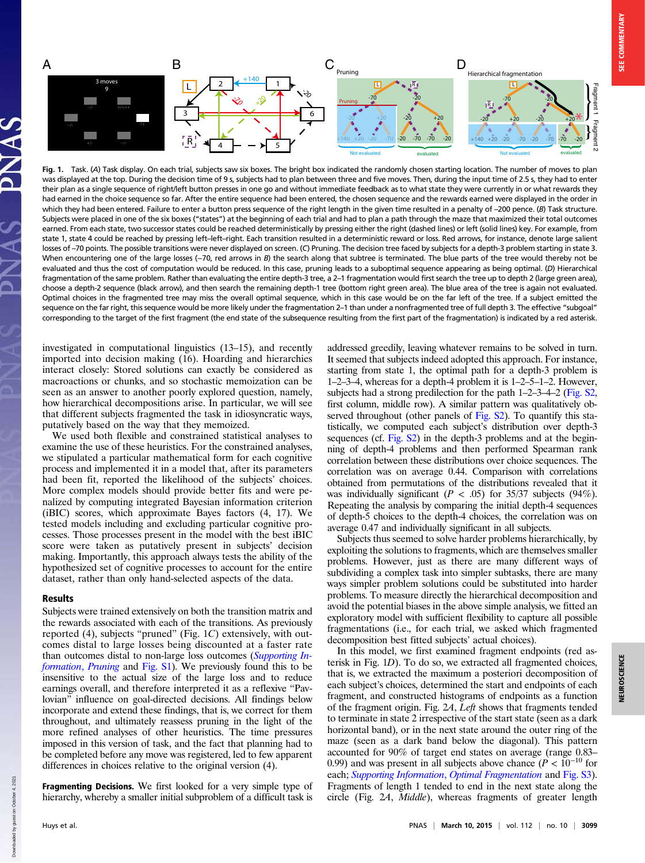

Fig. 1. Task. (A) Task display. On each trial, subjects saw six boxes. The bright box indicated the randomly chosen starting location. The number of moves to plan was displayed at the top. During the decision time of 9 s, subjects had to plan between three and five moves. Then, during the input time of 2.5 s, they had to enter their plan as a single sequence of right/left button presses in one go and without immediate feedback as to what state they were currently in or what rewards they had earned in the choice sequence so far. After the entire sequence had been entered, the chosen sequence and the rewards earned were displayed in the order in which they had been entered. Failure to enter a button press sequence of the right length in the given time resulted in a penalty of -200 pence. (B) Task structure. Subjects were placed in one of the six boxes ("states") at the beginning of each trial and had to plan a path through the maze that maximized their total outcomes earned. From each state, two successor states could be reached deterministically by pressing either the right (dashed lines) or left (solid lines) key. For example, from state 1, state 4 could be reached by pressing left–left–right. Each transition resulted in a deterministic reward or loss. Red arrows, for instance, denote large salient losses of –70 points. The possible transitions were never displayed on screen. (C) Pruning. The decision tree faced by subjects for a depth-3 problem starting in state 3. When encountering one of the large losses (-70, red arrows in B) the search along that subtree is terminated. The blue parts of the tree would thereby not be evaluated and thus the cost of computation would be reduced. In this case, pruning leads to a suboptimal sequence appearing as being optimal. (D) Hierarchical fragmentation of the same problem. Rather than evaluating the entire depth-3 tree, a 2–1 fragmentation would first search the tree up to depth 2 (large green area), choose a depth-2 sequence (black arrow), and then search the remaining depth-1 tree (bottom right green area). The blue area of the tree is again not evaluated. Optimal choices in the fragmented tree may miss the overall optimal sequence, which in this case would be on the far left of the tree. If a subject emitted the sequence on the far right, this sequence would be more likely under the fragmentation 2–1 than under a nonfragmented tree of full depth 3. The effective "subgoal" corresponding to the target of the first fragment (the end state of the subsequence resulting from the first part of the fragmentation) is indicated by a red asterisk.

investigated in computational linguistics (13–15), and recently imported into decision making (16). Hoarding and hierarchies interact closely: Stored solutions can exactly be considered as macroactions or chunks, and so stochastic memoization can be seen as an answer to another poorly explored question, namely, how hierarchical decompositions arise. In particular, we will see that different subjects fragmented the task in idiosyncratic ways, putatively based on the way that they memoized.

We used both flexible and constrained statistical analyses to examine the use of these heuristics. For the constrained analyses, we stipulated a particular mathematical form for each cognitive process and implemented it in a model that, after its parameters had been fit, reported the likelihood of the subjects' choices. More complex models should provide better fits and were penalized by computing integrated Bayesian information criterion (iBIC) scores, which approximate Bayes factors (4, 17). We tested models including and excluding particular cognitive processes. Those processes present in the model with the best iBIC score were taken as putatively present in subjects' decision making. Importantly, this approach always tests the ability of the hypothesized set of cognitive processes to account for the entire dataset, rather than only hand-selected aspects of the data.

### Results

Subjects were trained extensively on both the transition matrix and the rewards associated with each of the transitions. As previously reported (4), subjects "pruned" (Fig. 1C) extensively, with outcomes distal to large losses being discounted at a faster rate than outcomes distal to non-large loss outcomes ([Supporting In](http://www.pnas.org/lookup/suppl/doi:10.1073/pnas.1414219112/-/DCSupplemental/pnas.201414219SI.pdf?targetid=nameddest=STXT)[formation](http://www.pnas.org/lookup/suppl/doi:10.1073/pnas.1414219112/-/DCSupplemental/pnas.201414219SI.pdf?targetid=nameddest=STXT), Pruning and [Fig. S1\)](http://www.pnas.org/lookup/suppl/doi:10.1073/pnas.1414219112/-/DCSupplemental/pnas.201414219SI.pdf?targetid=nameddest=SF1). We previously found this to be insensitive to the actual size of the large loss and to reduce earnings overall, and therefore interpreted it as a reflexive "Pavlovian" influence on goal-directed decisions. All findings below incorporate and extend these findings, that is, we correct for them throughout, and ultimately reassess pruning in the light of the more refined analyses of other heuristics. The time pressures imposed in this version of task, and the fact that planning had to be completed before any move was registered, led to few apparent differences in choices relative to the original version (4).

Fragmenting Decisions. We first looked for a very simple type of hierarchy, whereby a smaller initial subproblem of a difficult task is addressed greedily, leaving whatever remains to be solved in turn. It seemed that subjects indeed adopted this approach. For instance, starting from state 1, the optimal path for a depth-3 problem is 1–2–3–4, whereas for a depth-4 problem it is 1–2–5–1–2. However, subjects had a strong predilection for the path 1–2–3–4–2 [\(Fig. S2,](http://www.pnas.org/lookup/suppl/doi:10.1073/pnas.1414219112/-/DCSupplemental/pnas.201414219SI.pdf?targetid=nameddest=SF2) first column, middle row). A similar pattern was qualitatively ob-served throughout (other panels of [Fig. S2](http://www.pnas.org/lookup/suppl/doi:10.1073/pnas.1414219112/-/DCSupplemental/pnas.201414219SI.pdf?targetid=nameddest=SF2)). To quantify this statistically, we computed each subject's distribution over depth-3 sequences (cf. [Fig. S2\)](http://www.pnas.org/lookup/suppl/doi:10.1073/pnas.1414219112/-/DCSupplemental/pnas.201414219SI.pdf?targetid=nameddest=SF2) in the depth-3 problems and at the beginning of depth-4 problems and then performed Spearman rank correlation between these distributions over choice sequences. The correlation was on average 0.44. Comparison with correlations obtained from permutations of the distributions revealed that it was individually significant  $(P < .05)$  for 35/37 subjects (94%). Repeating the analysis by comparing the initial depth-4 sequences of depth-5 choices to the depth-4 choices, the correlation was on average 0.47 and individually significant in all subjects.

Subjects thus seemed to solve harder problems hierarchically, by exploiting the solutions to fragments, which are themselves smaller problems. However, just as there are many different ways of subdividing a complex task into simpler subtasks, there are many ways simpler problem solutions could be substituted into harder problems. To measure directly the hierarchical decomposition and avoid the potential biases in the above simple analysis, we fitted an exploratory model with sufficient flexibility to capture all possible fragmentations (i.e., for each trial, we asked which fragmented decomposition best fitted subjects' actual choices).

In this model, we first examined fragment endpoints (red asterisk in Fig. 1D). To do so, we extracted all fragmented choices, that is, we extracted the maximum a posteriori decomposition of each subject's choices, determined the start and endpoints of each fragment, and constructed histograms of endpoints as a function of the fragment origin. Fig. 2A, Left shows that fragments tended to terminate in state 2 irrespective of the start state (seen as a dark horizontal band), or in the next state around the outer ring of the maze (seen as a dark band below the diagonal). This pattern accounted for 90% of target end states on average (range 0.83– 0.99) and was present in all subjects above chance ( $\hat{P}$  < 10<sup>-10</sup> for each; [Supporting Information](http://www.pnas.org/lookup/suppl/doi:10.1073/pnas.1414219112/-/DCSupplemental/pnas.201414219SI.pdf?targetid=nameddest=STXT), Optimal Fragmentation and [Fig. S3](http://www.pnas.org/lookup/suppl/doi:10.1073/pnas.1414219112/-/DCSupplemental/pnas.201414219SI.pdf?targetid=nameddest=SF3)). Fragments of length 1 tended to end in the next state along the circle (Fig. 2A, Middle), whereas fragments of greater length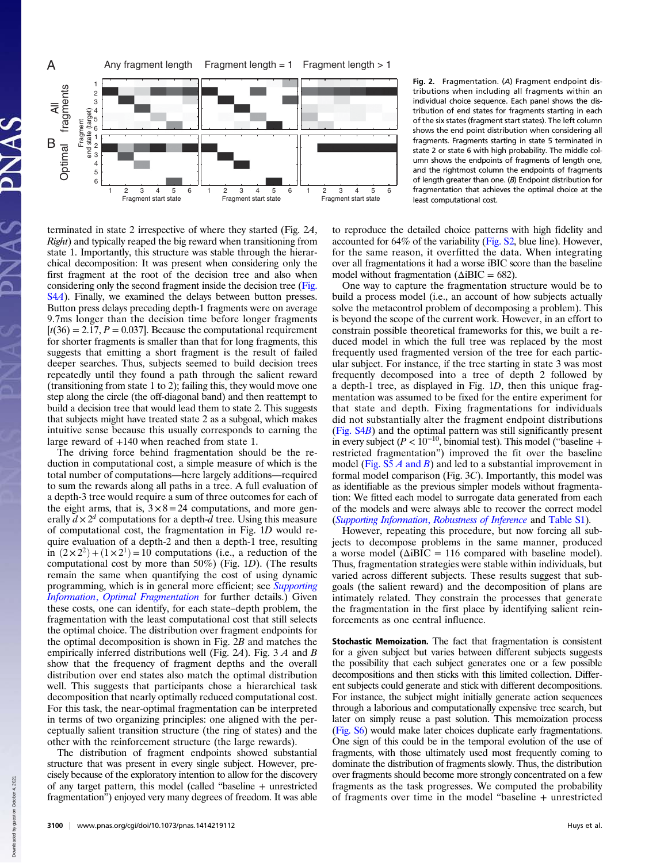

Fig. 2. Fragmentation. (A) Fragment endpoint distributions when including all fragments within an individual choice sequence. Each panel shows the distribution of end states for fragments starting in each of the six states (fragment start states). The left column shows the end point distribution when considering all fragments. Fragments starting in state 5 terminated in state 2 or state 6 with high probability. The middle column shows the endpoints of fragments of length one, and the rightmost column the endpoints of fragments of length greater than one. (B) Endpoint distribution for fragmentation that achieves the optimal choice at the least computational cost.

terminated in state 2 irrespective of where they started (Fig. 2A, Right) and typically reaped the big reward when transitioning from state 1. Importantly, this structure was stable through the hierarchical decomposition: It was present when considering only the first fragment at the root of the decision tree and also when considering only the second fragment inside the decision tree ([Fig.](http://www.pnas.org/lookup/suppl/doi:10.1073/pnas.1414219112/-/DCSupplemental/pnas.201414219SI.pdf?targetid=nameddest=SF4) [S4](http://www.pnas.org/lookup/suppl/doi:10.1073/pnas.1414219112/-/DCSupplemental/pnas.201414219SI.pdf?targetid=nameddest=SF4)*A*). Finally, we examined the delays between button presses. Button press delays preceding depth-1 fragments were on average 9.7ms longer than the decision time before longer fragments  $[t(36) = 2.17, P = 0.037]$ . Because the computational requirement for shorter fragments is smaller than that for long fragments, this suggests that emitting a short fragment is the result of failed deeper searches. Thus, subjects seemed to build decision trees repeatedly until they found a path through the salient reward (transitioning from state 1 to 2); failing this, they would move one step along the circle (the off-diagonal band) and then reattempt to build a decision tree that would lead them to state 2. This suggests that subjects might have treated state 2 as a subgoal, which makes intuitive sense because this usually corresponds to earning the large reward of +140 when reached from state 1.

The driving force behind fragmentation should be the reduction in computational cost, a simple measure of which is the total number of computations—here largely additions—required to sum the rewards along all paths in a tree. A full evaluation of a depth-3 tree would require a sum of three outcomes for each of the eight arms, that is,  $3 \times 8 = 24$  computations, and more generally  $d \times 2^d$  computations for a depth-d tree. Using this measure of computational cost, the fragmentation in Fig. 1D would require evaluation of a depth-2 and then a depth-1 tree, resulting in  $(2 \times 2^2) + (1 \times 2^1) = 10$  computations (i.e., a reduction of the computational cost by more than 50%) (Fig. 1D). (The results remain the same when quantifying the cost of using dynamic programming, which is in general more efficient; see *[Supporting](http://www.pnas.org/lookup/suppl/doi:10.1073/pnas.1414219112/-/DCSupplemental/pnas.201414219SI.pdf?targetid=nameddest=STXT)* Information, [Optimal Fragmentation](http://www.pnas.org/lookup/suppl/doi:10.1073/pnas.1414219112/-/DCSupplemental/pnas.201414219SI.pdf?targetid=nameddest=STXT) for further details.) Given these costs, one can identify, for each state–depth problem, the fragmentation with the least computational cost that still selects the optimal choice. The distribution over fragment endpoints for the optimal decomposition is shown in Fig. 2B and matches the empirically inferred distributions well (Fig. 2A). Fig.  $3A$  and B show that the frequency of fragment depths and the overall distribution over end states also match the optimal distribution well. This suggests that participants chose a hierarchical task decomposition that nearly optimally reduced computational cost. For this task, the near-optimal fragmentation can be interpreted in terms of two organizing principles: one aligned with the perceptually salient transition structure (the ring of states) and the other with the reinforcement structure (the large rewards).

The distribution of fragment endpoints showed substantial structure that was present in every single subject. However, precisely because of the exploratory intention to allow for the discovery of any target pattern, this model (called "baseline + unrestricted fragmentation") enjoyed very many degrees of freedom. It was able to reproduce the detailed choice patterns with high fidelity and accounted for 64% of the variability ([Fig. S2](http://www.pnas.org/lookup/suppl/doi:10.1073/pnas.1414219112/-/DCSupplemental/pnas.201414219SI.pdf?targetid=nameddest=SF2), blue line). However, for the same reason, it overfitted the data. When integrating over all fragmentations it had a worse iBIC score than the baseline model without fragmentation ( $\triangle$ iBIC = 682).

One way to capture the fragmentation structure would be to build a process model (i.e., an account of how subjects actually solve the metacontrol problem of decomposing a problem). This is beyond the scope of the current work. However, in an effort to constrain possible theoretical frameworks for this, we built a reduced model in which the full tree was replaced by the most frequently used fragmented version of the tree for each particular subject. For instance, if the tree starting in state 3 was most frequently decomposed into a tree of depth 2 followed by a depth-1 tree, as displayed in Fig. 1D, then this unique fragmentation was assumed to be fixed for the entire experiment for that state and depth. Fixing fragmentations for individuals did not substantially alter the fragment endpoint distributions ([Fig. S4](http://www.pnas.org/lookup/suppl/doi:10.1073/pnas.1414219112/-/DCSupplemental/pnas.201414219SI.pdf?targetid=nameddest=SF4)B) and the optimal pattern was still significantly present in every subject ( $P < 10^{-10}$ , binomial test). This model ("baseline + restricted fragmentation") improved the fit over the baseline model (Fig.  $S5A$  and B) and led to a substantial improvement in formal model comparison (Fig. 3C). Importantly, this model was as identifiable as the previous simpler models without fragmentation: We fitted each model to surrogate data generated from each of the models and were always able to recover the correct model (Supporting Information, [Robustness of Inference](http://www.pnas.org/lookup/suppl/doi:10.1073/pnas.1414219112/-/DCSupplemental/pnas.201414219SI.pdf?targetid=nameddest=STXT) and [Table S1\)](http://www.pnas.org/lookup/suppl/doi:10.1073/pnas.1414219112/-/DCSupplemental/pnas.201414219SI.pdf?targetid=nameddest=ST1).

However, repeating this procedure, but now forcing all subjects to decompose problems in the same manner, produced a worse model  $(\Delta iBIC = 116$  compared with baseline model). Thus, fragmentation strategies were stable within individuals, but varied across different subjects. These results suggest that subgoals (the salient reward) and the decomposition of plans are intimately related. They constrain the processes that generate the fragmentation in the first place by identifying salient reinforcements as one central influence.

Stochastic Memoization. The fact that fragmentation is consistent for a given subject but varies between different subjects suggests the possibility that each subject generates one or a few possible decompositions and then sticks with this limited collection. Different subjects could generate and stick with different decompositions. For instance, the subject might initially generate action sequences through a laborious and computationally expensive tree search, but later on simply reuse a past solution. This memoization process ([Fig. S6](http://www.pnas.org/lookup/suppl/doi:10.1073/pnas.1414219112/-/DCSupplemental/pnas.201414219SI.pdf?targetid=nameddest=SF6)) would make later choices duplicate early fragmentations. One sign of this could be in the temporal evolution of the use of fragments, with those ultimately used most frequently coming to dominate the distribution of fragments slowly. Thus, the distribution over fragments should become more strongly concentrated on a few fragments as the task progresses. We computed the probability of fragments over time in the model "baseline + unrestricted

Down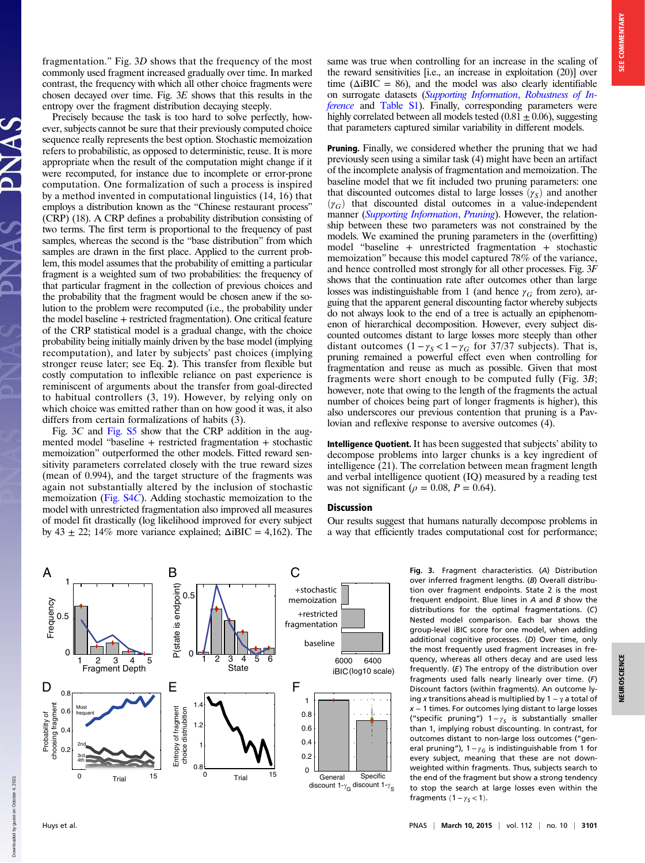fragmentation." Fig. 3D shows that the frequency of the most commonly used fragment increased gradually over time. In marked contrast, the frequency with which all other choice fragments were chosen decayed over time. Fig. 3E shows that this results in the entropy over the fragment distribution decaying steeply.

Precisely because the task is too hard to solve perfectly, however, subjects cannot be sure that their previously computed choice sequence really represents the best option. Stochastic memoization refers to probabilistic, as opposed to deterministic, reuse. It is more appropriate when the result of the computation might change if it were recomputed, for instance due to incomplete or error-prone computation. One formalization of such a process is inspired by a method invented in computational linguistics (14, 16) that employs a distribution known as the "Chinese restaurant process" (CRP) (18). A CRP defines a probability distribution consisting of two terms. The first term is proportional to the frequency of past samples, whereas the second is the "base distribution" from which samples are drawn in the first place. Applied to the current problem, this model assumes that the probability of emitting a particular fragment is a weighted sum of two probabilities: the frequency of that particular fragment in the collection of previous choices and the probability that the fragment would be chosen anew if the solution to the problem were recomputed (i.e., the probability under the model baseline + restricted fragmentation). One critical feature of the CRP statistical model is a gradual change, with the choice probability being initially mainly driven by the base model (implying recomputation), and later by subjects' past choices (implying stronger reuse later; see Eq. 2). This transfer from flexible but costly computation to inflexible reliance on past experience is reminiscent of arguments about the transfer from goal-directed to habitual controllers (3, 19). However, by relying only on which choice was emitted rather than on how good it was, it also differs from certain formalizations of habits (3).

Fig. 3C and [Fig. S5](http://www.pnas.org/lookup/suppl/doi:10.1073/pnas.1414219112/-/DCSupplemental/pnas.201414219SI.pdf?targetid=nameddest=SF5) show that the CRP addition in the augmented model "baseline + restricted fragmentation + stochastic memoization" outperformed the other models. Fitted reward sensitivity parameters correlated closely with the true reward sizes (mean of 0.994), and the target structure of the fragments was again not substantially altered by the inclusion of stochastic memoization [\(Fig. S4](http://www.pnas.org/lookup/suppl/doi:10.1073/pnas.1414219112/-/DCSupplemental/pnas.201414219SI.pdf?targetid=nameddest=SF4)C). Adding stochastic memoization to the model with unrestricted fragmentation also improved all measures of model fit drastically (log likelihood improved for every subject by 43  $\pm$  22; 14% more variance explained;  $\Delta iBIC = 4,162$ ). The

same was true when controlling for an increase in the scaling of the reward sensitivities [i.e., an increase in exploitation (20)] over time ( $\triangle$ iBIC = 86), and the model was also clearly identifiable on surrogate datasets ([Supporting Information](http://www.pnas.org/lookup/suppl/doi:10.1073/pnas.1414219112/-/DCSupplemental/pnas.201414219SI.pdf?targetid=nameddest=STXT), Robustness of In[ference](http://www.pnas.org/lookup/suppl/doi:10.1073/pnas.1414219112/-/DCSupplemental/pnas.201414219SI.pdf?targetid=nameddest=STXT) and [Table S1\)](http://www.pnas.org/lookup/suppl/doi:10.1073/pnas.1414219112/-/DCSupplemental/pnas.201414219SI.pdf?targetid=nameddest=ST1). Finally, corresponding parameters were highly correlated between all models tested  $(0.81 \pm 0.06)$ , suggesting that parameters captured similar variability in different models.

Pruning. Finally, we considered whether the pruning that we had previously seen using a similar task (4) might have been an artifact of the incomplete analysis of fragmentation and memoization. The baseline model that we fit included two pruning parameters: one that discounted outcomes distal to large losses  $(\gamma_S)$  and another  $(\gamma_G)$  that discounted distal outcomes in a value-independent manner ([Supporting Information](http://www.pnas.org/lookup/suppl/doi:10.1073/pnas.1414219112/-/DCSupplemental/pnas.201414219SI.pdf?targetid=nameddest=STXT), Pruning). However, the relationship between these two parameters was not constrained by the models. We examined the pruning parameters in the (overfitting) model "baseline + unrestricted fragmentation + stochastic memoization" because this model captured 78% of the variance, and hence controlled most strongly for all other processes. Fig. 3F shows that the continuation rate after outcomes other than large losses was indistinguishable from 1 (and hence  $\gamma_G$  from zero), arguing that the apparent general discounting factor whereby subjects do not always look to the end of a tree is actually an epiphenomenon of hierarchical decomposition. However, every subject discounted outcomes distant to large losses more steeply than other distant outcomes  $(1 - \gamma_S < 1 - \gamma_G$  for 37/37 subjects). That is, pruning remained a powerful effect even when controlling for fragmentation and reuse as much as possible. Given that most fragments were short enough to be computed fully (Fig. 3B; however, note that owing to the length of the fragments the actual number of choices being part of longer fragments is higher), this also underscores our previous contention that pruning is a Pavlovian and reflexive response to aversive outcomes (4).

Intelligence Quotient. It has been suggested that subjects' ability to decompose problems into larger chunks is a key ingredient of intelligence (21). The correlation between mean fragment length and verbal intelligence quotient (IQ) measured by a reading test was not significant ( $\rho = 0.08$ ,  $P = 0.64$ ).

## Discussion

Our results suggest that humans naturally decompose problems in a way that efficiently trades computational cost for performance;



Fig. 3. Fragment characteristics. (A) Distribution over inferred fragment lengths. (B) Overall distribution over fragment endpoints. State 2 is the most frequent endpoint. Blue lines in  $A$  and  $B$  show the distributions for the optimal fragmentations. (C) Nested model comparison. Each bar shows the group-level iBIC score for one model, when adding additional cognitive processes. (D) Over time, only the most frequently used fragment increases in frequency, whereas all others decay and are used less frequently. (E) The entropy of the distribution over fragments used falls nearly linearly over time. (F) Discount factors (within fragments). An outcome lying x transitions ahead is multiplied by 1 –  $\gamma$  a total of x − 1 times. For outcomes lying distant to large losses ("specific pruning") 1− $\gamma_s$  is substantially smaller than 1, implying robust discounting. In contrast, for outcomes distant to non-large loss outcomes ("general pruning"),  $1-\gamma_G$  is indistinguishable from 1 for every subject, meaning that these are not downweighted within fragments. Thus, subjects search to the end of the fragment but show a strong tendency to stop the search at large losses even within the fragments  $(1 - \gamma_S < 1)$ .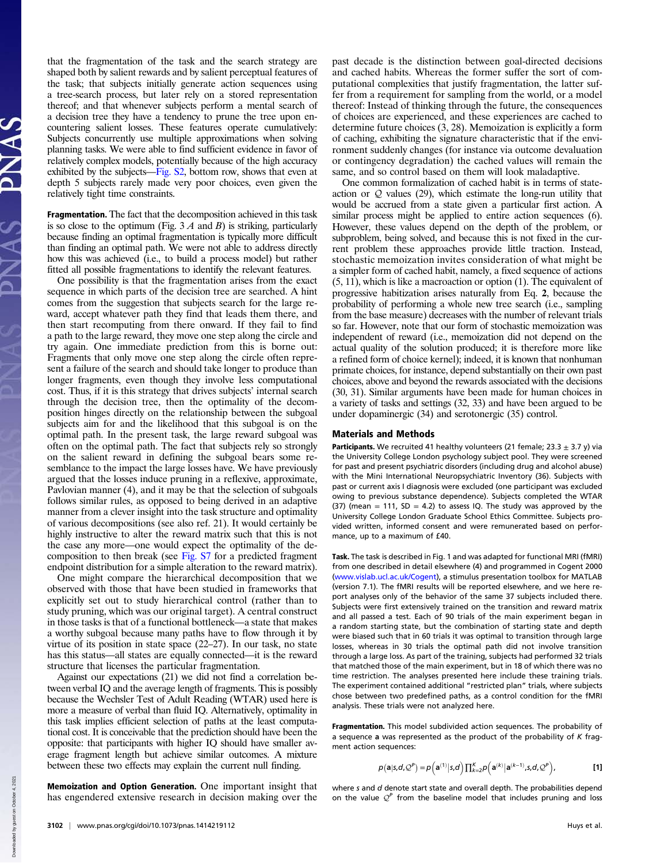that the fragmentation of the task and the search strategy are shaped both by salient rewards and by salient perceptual features of the task; that subjects initially generate action sequences using a tree-search process, but later rely on a stored representation thereof; and that whenever subjects perform a mental search of a decision tree they have a tendency to prune the tree upon encountering salient losses. These features operate cumulatively: Subjects concurrently use multiple approximations when solving planning tasks. We were able to find sufficient evidence in favor of relatively complex models, potentially because of the high accuracy exhibited by the subjects—[Fig. S2](http://www.pnas.org/lookup/suppl/doi:10.1073/pnas.1414219112/-/DCSupplemental/pnas.201414219SI.pdf?targetid=nameddest=SF2), bottom row, shows that even at depth 5 subjects rarely made very poor choices, even given the relatively tight time constraints.

Fragmentation. The fact that the decomposition achieved in this task is so close to the optimum (Fig.  $3A$  and B) is striking, particularly because finding an optimal fragmentation is typically more difficult than finding an optimal path. We were not able to address directly how this was achieved (i.e., to build a process model) but rather fitted all possible fragmentations to identify the relevant features.

One possibility is that the fragmentation arises from the exact sequence in which parts of the decision tree are searched. A hint comes from the suggestion that subjects search for the large reward, accept whatever path they find that leads them there, and then start recomputing from there onward. If they fail to find a path to the large reward, they move one step along the circle and try again. One immediate prediction from this is borne out: Fragments that only move one step along the circle often represent a failure of the search and should take longer to produce than longer fragments, even though they involve less computational cost. Thus, if it is this strategy that drives subjects' internal search through the decision tree, then the optimality of the decomposition hinges directly on the relationship between the subgoal subjects aim for and the likelihood that this subgoal is on the optimal path. In the present task, the large reward subgoal was often on the optimal path. The fact that subjects rely so strongly on the salient reward in defining the subgoal bears some resemblance to the impact the large losses have. We have previously argued that the losses induce pruning in a reflexive, approximate, Pavlovian manner (4), and it may be that the selection of subgoals follows similar rules, as opposed to being derived in an adaptive manner from a clever insight into the task structure and optimality of various decompositions (see also ref. 21). It would certainly be highly instructive to alter the reward matrix such that this is not the case any more—one would expect the optimality of the decomposition to then break (see [Fig. S7](http://www.pnas.org/lookup/suppl/doi:10.1073/pnas.1414219112/-/DCSupplemental/pnas.201414219SI.pdf?targetid=nameddest=SF7) for a predicted fragment endpoint distribution for a simple alteration to the reward matrix).

One might compare the hierarchical decomposition that we observed with those that have been studied in frameworks that explicitly set out to study hierarchical control (rather than to study pruning, which was our original target). A central construct in those tasks is that of a functional bottleneck—a state that makes a worthy subgoal because many paths have to flow through it by virtue of its position in state space (22–27). In our task, no state has this status—all states are equally connected—it is the reward structure that licenses the particular fragmentation.

Against our expectations (21) we did not find a correlation between verbal IQ and the average length of fragments. This is possibly because the Wechsler Test of Adult Reading (WTAR) used here is more a measure of verbal than fluid IQ. Alternatively, optimality in this task implies efficient selection of paths at the least computational cost. It is conceivable that the prediction should have been the opposite: that participants with higher IQ should have smaller average fragment length but achieve similar outcomes. A mixture between these two effects may explain the current null finding.

Memoization and Option Generation. One important insight that has engendered extensive research in decision making over the

past decade is the distinction between goal-directed decisions and cached habits. Whereas the former suffer the sort of computational complexities that justify fragmentation, the latter suffer from a requirement for sampling from the world, or a model thereof: Instead of thinking through the future, the consequences of choices are experienced, and these experiences are cached to determine future choices (3, 28). Memoization is explicitly a form of caching, exhibiting the signature characteristic that if the environment suddenly changes (for instance via outcome devaluation or contingency degradation) the cached values will remain the same, and so control based on them will look maladaptive.

One common formalization of cached habit is in terms of stateaction or  $Q$  values (29), which estimate the long-run utility that would be accrued from a state given a particular first action. A similar process might be applied to entire action sequences (6). However, these values depend on the depth of the problem, or subproblem, being solved, and because this is not fixed in the current problem these approaches provide little traction. Instead, stochastic memoization invites consideration of what might be a simpler form of cached habit, namely, a fixed sequence of actions (5, 11), which is like a macroaction or option (1). The equivalent of progressive habitization arises naturally from Eq. 2, because the probability of performing a whole new tree search (i.e., sampling from the base measure) decreases with the number of relevant trials so far. However, note that our form of stochastic memoization was independent of reward (i.e., memoization did not depend on the actual quality of the solution produced; it is therefore more like a refined form of choice kernel); indeed, it is known that nonhuman primate choices, for instance, depend substantially on their own past choices, above and beyond the rewards associated with the decisions (30, 31). Similar arguments have been made for human choices in a variety of tasks and settings (32, 33) and have been argued to be under dopaminergic (34) and serotonergic (35) control.

# Materials and Methods

**Participants.** We recruited 41 healthy volunteers (21 female;  $23.3 \pm 3.7$  y) via the University College London psychology subject pool. They were screened for past and present psychiatric disorders (including drug and alcohol abuse) with the Mini International Neuropsychiatric Inventory (36). Subjects with past or current axis I diagnosis were excluded (one participant was excluded owing to previous substance dependence). Subjects completed the WTAR (37) (mean = 111, SD = 4.2) to assess IQ. The study was approved by the University College London Graduate School Ethics Committee. Subjects provided written, informed consent and were remunerated based on performance, up to a maximum of £40.

Task. The task is described in Fig. 1 and was adapted for functional MRI (fMRI) from one described in detail elsewhere (4) and programmed in Cogent 2000 ([www.vislab.ucl.ac.uk/Cogent\)](http://www.vislab.ucl.ac.uk/Cogent), a stimulus presentation toolbox for MATLAB (version 7.1). The fMRI results will be reported elsewhere, and we here report analyses only of the behavior of the same 37 subjects included there. Subjects were first extensively trained on the transition and reward matrix and all passed a test. Each of 90 trials of the main experiment began in a random starting state, but the combination of starting state and depth were biased such that in 60 trials it was optimal to transition through large losses, whereas in 30 trials the optimal path did not involve transition through a large loss. As part of the training, subjects had performed 32 trials that matched those of the main experiment, but in 18 of which there was no time restriction. The analyses presented here include these training trials. The experiment contained additional "restricted plan" trials, where subjects chose between two predefined paths, as a control condition for the fMRI analysis. These trials were not analyzed here.

Fragmentation. This model subdivided action sequences. The probability of a sequence a was represented as the product of the probability of  $K$  fragment action sequences:

$$
p(\mathbf{a}|s,d,\mathcal{Q}^P) = p\Big(\mathbf{a}^{(1)}|s,d\Big) \prod_{k=2}^K p\Big(\mathbf{a}^{(k)}|\mathbf{a}^{(k-1)},s,d,\mathcal{Q}^P\Big),\tag{1}
$$

where s and d denote start state and overall depth. The probabilities depend on the value  $\mathcal{Q}^P$  from the baseline model that includes pruning and loss

Downloaded by guest on October 4, 2021 loaded by guest on October 4, 202